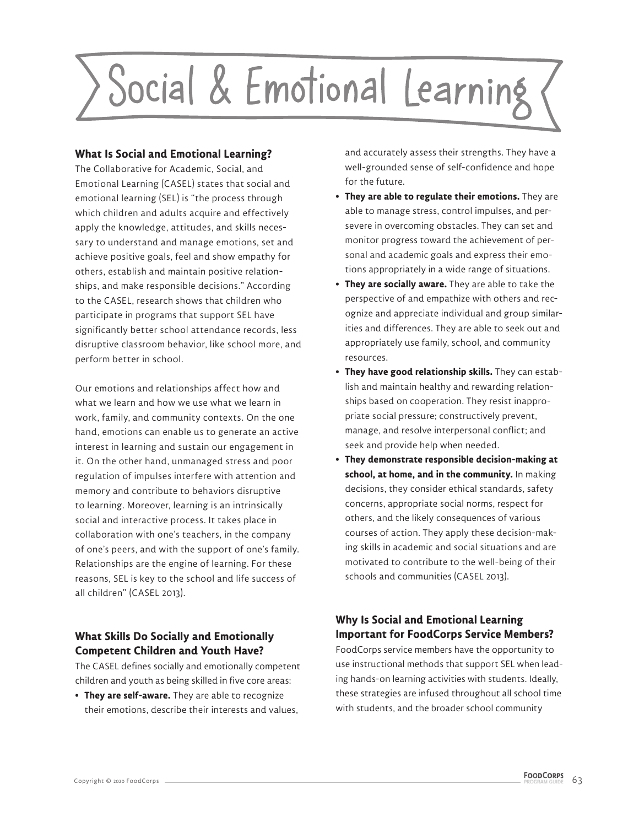

#### **What Is Social and Emotional Learning?**

The Collaborative for Academic, Social, and Emotional Learning (CASEL) states that social and emotional learning (SEL) is "the process through which children and adults acquire and effectively apply the knowledge, attitudes, and skills necessary to understand and manage emotions, set and achieve positive goals, feel and show empathy for others, establish and maintain positive relationships, and make responsible decisions." According to the CASEL, research shows that children who participate in programs that support SEL have significantly better school attendance records, less disruptive classroom behavior, like school more, and perform better in school.

Our emotions and relationships affect how and what we learn and how we use what we learn in work, family, and community contexts. On the one hand, emotions can enable us to generate an active interest in learning and sustain our engagement in it. On the other hand, unmanaged stress and poor regulation of impulses interfere with attention and memory and contribute to behaviors disruptive to learning. Moreover, learning is an intrinsically social and interactive process. It takes place in collaboration with one's teachers, in the company of one's peers, and with the support of one's family. Relationships are the engine of learning. For these reasons, SEL is key to the school and life success of all children" (CASEL 2013).

### **What Skills Do Socially and Emotionally Competent Children and Youth Have?**

The CASEL defines socially and emotionally competent children and youth as being skilled in five core areas:

**• They are self-aware.** They are able to recognize their emotions, describe their interests and values, and accurately assess their strengths. They have a well-grounded sense of self-confidence and hope for the future.

- **They are able to regulate their emotions.** They are able to manage stress, control impulses, and persevere in overcoming obstacles. They can set and monitor progress toward the achievement of personal and academic goals and express their emotions appropriately in a wide range of situations.
- **They are socially aware.** They are able to take the perspective of and empathize with others and recognize and appreciate individual and group similarities and differences. They are able to seek out and appropriately use family, school, and community resources.
- **They have good relationship skills.** They can establish and maintain healthy and rewarding relationships based on cooperation. They resist inappropriate social pressure; constructively prevent, manage, and resolve interpersonal conflict; and seek and provide help when needed.
- **They demonstrate responsible decision-making at school, at home, and in the community.** In making decisions, they consider ethical standards, safety concerns, appropriate social norms, respect for others, and the likely consequences of various courses of action. They apply these decision-making skills in academic and social situations and are motivated to contribute to the well-being of their schools and communities (CASEL 2013).

# **Why Is Social and Emotional Learning Important for FoodCorps Service Members?**

FoodCorps service members have the opportunity to use instructional methods that support SEL when leading hands-on learning activities with students. Ideally, these strategies are infused throughout all school time with students, and the broader school community